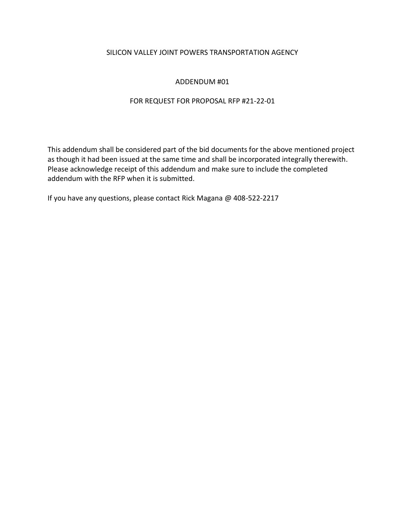## SILICON VALLEY JOINT POWERS TRANSPORTATION AGENCY

## ADDENDUM #01

## FOR REQUEST FOR PROPOSAL RFP #21-22-01

This addendum shall be considered part of the bid documents for the above mentioned project as though it had been issued at the same time and shall be incorporated integrally therewith. Please acknowledge receipt of this addendum and make sure to include the completed addendum with the RFP when it is submitted.

If you have any questions, please contact Rick Magana @ 408-522-2217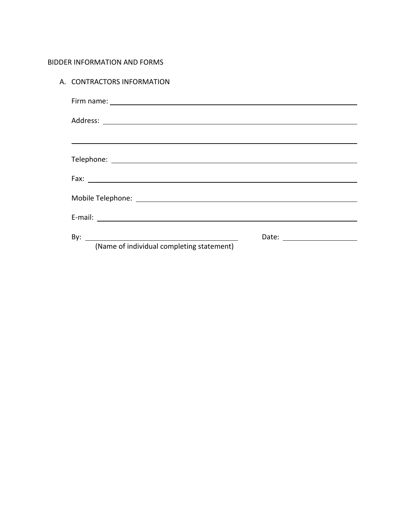# BIDDER INFORMATION AND FORMS

| A. CONTRACTORS INFORMATION                |  |
|-------------------------------------------|--|
|                                           |  |
|                                           |  |
|                                           |  |
|                                           |  |
|                                           |  |
|                                           |  |
|                                           |  |
| (Name of individual completing statement) |  |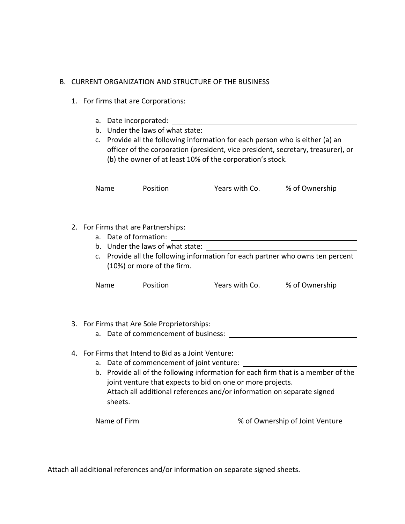## B. CURRENT ORGANIZATION AND STRUCTURE OF THE BUSINESS

- 1. For firms that are Corporations:
	- a. Date incorporated:
	- b. Under the laws of what state:
	- c. Provide all the following information for each person who is either (a) an officer of the corporation (president, vice president, secretary, treasurer), or (b) the owner of at least 10% of the corporation's stock.

| Name | Position | Years with Co. | % of Ownership |
|------|----------|----------------|----------------|
|------|----------|----------------|----------------|

- 2. For Firms that are Partnerships:
	- a. Date of formation:
	- b. Under the laws of what state:
	- c. Provide all the following information for each partner who owns ten percent (10%) or more of the firm.

| Name | Position | Years with Co. | % of Ownership |
|------|----------|----------------|----------------|
|      |          |                |                |

- 3. For Firms that Are Sole Proprietorships:
	- a. Date of commencement of business:
- 4. For Firms that Intend to Bid as a Joint Venture:
	- a. Date of commencement of joint venture:
	- b. Provide all of the following information for each firm that is a member of the joint venture that expects to bid on one or more projects. Attach all additional references and/or information on separate signed sheets.

Name of Firm  $\%$  of Ownership of Joint Venture

Attach all additional references and/or information on separate signed sheets.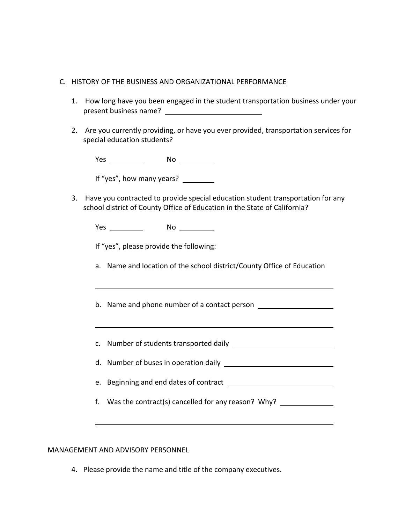### C. HISTORY OF THE BUSINESS AND ORGANIZATIONAL PERFORMANCE

- 1. How long have you been engaged in the student transportation business under your present business name?
- 2. Are you currently providing, or have you ever provided, transportation services for special education students?

Yes No

If "yes", how many years?

3. Have you contracted to provide special education student transportation for any school district of County Office of Education in the State of California?

Yes No

If "yes", please provide the following:

a. Name and location of the school district/County Office of Education

b. Name and phone number of a contact person **contact** 

c. Number of students transported daily

d. Number of buses in operation daily

e. Beginning and end dates of contract

f. Was the contract(s) cancelled for any reason? Why?

MANAGEMENT AND ADVISORY PERSONNEL

4. Please provide the name and title of the company executives.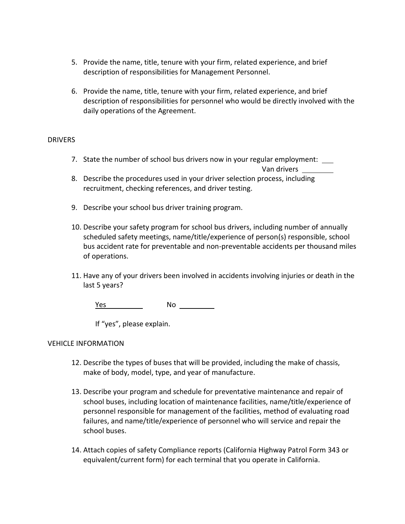- 5. Provide the name, title, tenure with your firm, related experience, and brief description of responsibilities for Management Personnel.
- 6. Provide the name, title, tenure with your firm, related experience, and brief description of responsibilities for personnel who would be directly involved with the daily operations of the Agreement.

### DRIVERS

- 7. State the number of school bus drivers now in your regular employment: \_\_\_\_\_ Van drivers
- 8. Describe the procedures used in your driver selection process, including recruitment, checking references, and driver testing.
- 9. Describe your school bus driver training program.
- 10. Describe your safety program for school bus drivers, including number of annually scheduled safety meetings, name/title/experience of person(s) responsible, school bus accident rate for preventable and non-preventable accidents per thousand miles of operations.
- 11. Have any of your drivers been involved in accidents involving injuries or death in the last 5 years?

Yes No

If "yes", please explain.

#### VEHICLE INFORMATION

- 12. Describe the types of buses that will be provided, including the make of chassis, make of body, model, type, and year of manufacture.
- 13. Describe your program and schedule for preventative maintenance and repair of school buses, including location of maintenance facilities, name/title/experience of personnel responsible for management of the facilities, method of evaluating road failures, and name/title/experience of personnel who will service and repair the school buses.
- 14. Attach copies of safety Compliance reports (California Highway Patrol Form 343 or equivalent/current form) for each terminal that you operate in California.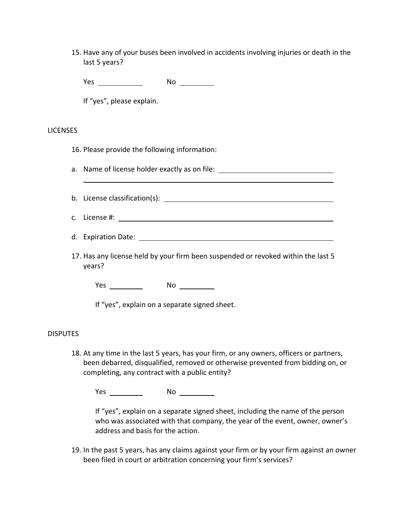15. Have any of your buses been involved in accidents involving injuries or death in the last 5 years?

Yes No

If "yes", please explain.

### **LICENSES**

- 16. Please provide the following information:
- a. Name of license holder exactly as on file:
- b. License classification(s):
- c. License #:
- d. Expiration Date:
- 17. Has any license held by your firm been suspended or revoked within the last 5 years?

Yes No

If "yes", explain on a separate signed sheet.

## DISPUTES

18. At any time in the last 5 years, has your firm, or any owners, officers or partners, been debarred, disqualified, removed or otherwise prevented from bidding on, or completing, any contract with a public entity?

Yes No

If "yes", explain on a separate signed sheet, including the name of the person who was associated with that company, the year of the event, owner, owner's address and basis for the action.

19. In the past 5 years, has any claims against your firm or by your firm against an owner been filed in court or arbitration concerning your firm's services?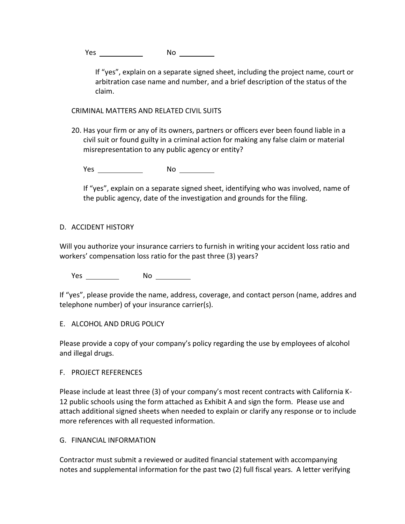Yes No

If "yes", explain on a separate signed sheet, including the project name, court or arbitration case name and number, and a brief description of the status of the claim.

CRIMINAL MATTERS AND RELATED CIVIL SUITS

20. Has your firm or any of its owners, partners or officers ever been found liable in a civil suit or found guilty in a criminal action for making any false claim or material misrepresentation to any public agency or entity?

Yes No

If "yes", explain on a separate signed sheet, identifying who was involved, name of the public agency, date of the investigation and grounds for the filing.

# D. ACCIDENT HISTORY

Will you authorize your insurance carriers to furnish in writing your accident loss ratio and workers' compensation loss ratio for the past three (3) years?

Yes \_\_\_\_\_\_\_\_\_\_\_\_\_ No \_\_\_\_\_\_\_\_\_\_\_\_

If "yes", please provide the name, address, coverage, and contact person (name, addres and telephone number) of your insurance carrier(s).

E. ALCOHOL AND DRUG POLICY

Please provide a copy of your company's policy regarding the use by employees of alcohol and illegal drugs.

## F. PROJECT REFERENCES

Please include at least three (3) of your company's most recent contracts with California K-12 public schools using the form attached as Exhibit A and sign the form. Please use and attach additional signed sheets when needed to explain or clarify any response or to include more references with all requested information.

## G. FINANCIAL INFORMATION

Contractor must submit a reviewed or audited financial statement with accompanying notes and supplemental information for the past two (2) full fiscal years. A letter verifying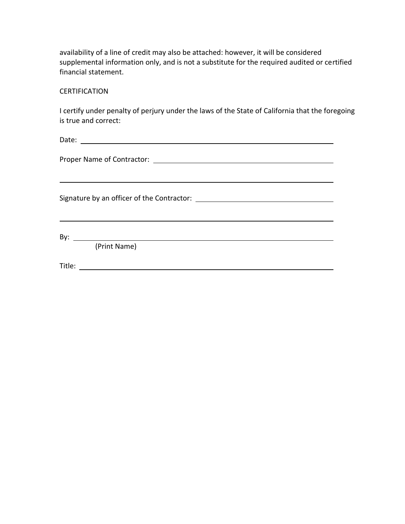availability of a line of credit may also be attached: however, it will be considered supplemental information only, and is not a substitute for the required audited or certified financial statement.

**CERTIFICATION** 

I certify under penalty of perjury under the laws of the State of California that the foregoing is true and correct:

Date:

Proper Name of Contractor:

Signature by an officer of the Contractor: <u>Contractoring</u>

By:

(Print Name)

Title: